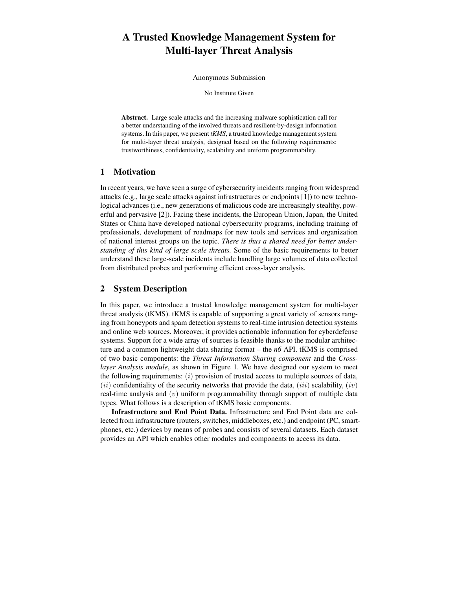# A Trusted Knowledge Management System for Multi-layer Threat Analysis

Anonymous Submission

No Institute Given

Abstract. Large scale attacks and the increasing malware sophistication call for a better understanding of the involved threats and resilient-by-design information systems. In this paper, we present *tKMS*, a trusted knowledge management system for multi-layer threat analysis, designed based on the following requirements: trustworthiness, confidentiality, scalability and uniform programmability.

## 1 Motivation

In recent years, we have seen a surge of cybersecurity incidents ranging from widespread attacks (e.g., large scale attacks against infrastructures or endpoints [\[1\]](#page-1-0)) to new technological advances (i.e., new generations of malicious code are increasingly stealthy, powerful and pervasive [\[2\]](#page-1-1)). Facing these incidents, the European Union, Japan, the United States or China have developed national cybersecurity programs, including training of professionals, development of roadmaps for new tools and services and organization of national interest groups on the topic. *There is thus a shared need for better understanding of this kind of large scale threats.* Some of the basic requirements to better understand these large-scale incidents include handling large volumes of data collected from distributed probes and performing efficient cross-layer analysis.

## 2 System Description

In this paper, we introduce a trusted knowledge management system for multi-layer threat analysis (tKMS). tKMS is capable of supporting a great variety of sensors ranging from honeypots and spam detection systems to real-time intrusion detection systems and online web sources. Moreover, it provides actionable information for cyberdefense systems. Support for a wide array of sources is feasible thanks to the modular architecture and a common lightweight data sharing format – the *n6* API. tKMS is comprised of two basic components: the *Threat Information Sharing component* and the *Crosslayer Analysis module*, as shown in Figure [1.](#page-1-2) We have designed our system to meet the following requirements:  $(i)$  provision of trusted access to multiple sources of data,  $(ii)$  confidentiality of the security networks that provide the data,  $(iii)$  scalability,  $(iv)$ real-time analysis and  $(v)$  uniform programmability through support of multiple data types. What follows is a description of tKMS basic components.

Infrastructure and End Point Data. Infrastructure and End Point data are collected from infrastructure (routers, switches, middleboxes, etc.) and endpoint (PC, smartphones, etc.) devices by means of probes and consists of several datasets. Each dataset provides an API which enables other modules and components to access its data.